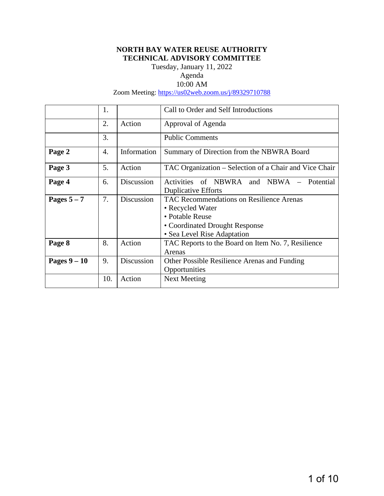# **NORTH BAY WATER REUSE AUTHORITY TECHNICAL ADVISORY COMMITTEE**

Tuesday, January 11, 2022 Agenda

# 10:00 AM

Zoom Meeting:<https://us02web.zoom.us/j/89329710788>

|              | 1.  |             | Call to Order and Self Introductions                                                                                                                    |  |
|--------------|-----|-------------|---------------------------------------------------------------------------------------------------------------------------------------------------------|--|
|              | 2.  | Action      | Approval of Agenda                                                                                                                                      |  |
|              | 3.  |             | <b>Public Comments</b>                                                                                                                                  |  |
| Page 2       | 4.  | Information | Summary of Direction from the NBWRA Board                                                                                                               |  |
| Page 3       | 5.  | Action      | TAC Organization – Selection of a Chair and Vice Chair                                                                                                  |  |
| Page 4       | 6.  | Discussion  | Activities<br>of NBWRA<br>and NBWA<br>Potential<br><b>Duplicative Efforts</b>                                                                           |  |
| Pages $5-7$  | 7.  | Discussion  | <b>TAC Recommendations on Resilience Arenas</b><br>• Recycled Water<br>• Potable Reuse<br>• Coordinated Drought Response<br>• Sea Level Rise Adaptation |  |
| Page 8       | 8.  | Action      | TAC Reports to the Board on Item No. 7, Resilience<br>Arenas                                                                                            |  |
| Pages $9-10$ | 9.  | Discussion  | Other Possible Resilience Arenas and Funding<br>Opportunities                                                                                           |  |
|              | 10. | Action      | Next Meeting                                                                                                                                            |  |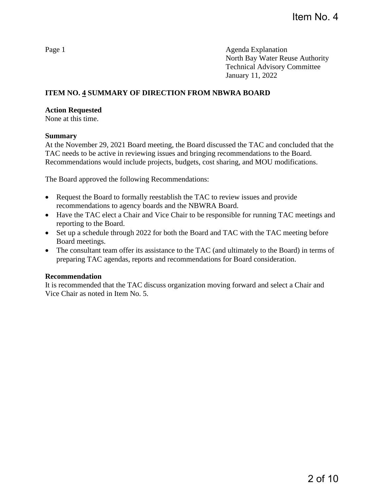# **ITEM NO. 4 SUMMARY OF DIRECTION FROM NBWRA BOARD**

## **Action Requested**

None at this time.

## **Summary**

At the November 29, 2021 Board meeting, the Board discussed the TAC and concluded that the TAC needs to be active in reviewing issues and bringing recommendations to the Board. Recommendations would include projects, budgets, cost sharing, and MOU modifications.

The Board approved the following Recommendations:

- Request the Board to formally reestablish the TAC to review issues and provide recommendations to agency boards and the NBWRA Board.
- Have the TAC elect a Chair and Vice Chair to be responsible for running TAC meetings and reporting to the Board.
- Set up a schedule through 2022 for both the Board and TAC with the TAC meeting before Board meetings.
- The consultant team offer its assistance to the TAC (and ultimately to the Board) in terms of preparing TAC agendas, reports and recommendations for Board consideration.

## **Recommendation**

It is recommended that the TAC discuss organization moving forward and select a Chair and Vice Chair as noted in Item No. 5.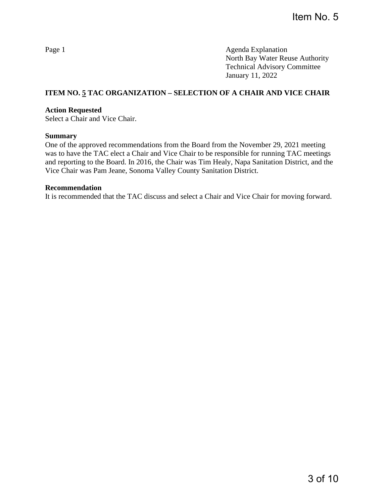# **ITEM NO. 5 TAC ORGANIZATION – SELECTION OF A CHAIR AND VICE CHAIR**

## **Action Requested**

Select a Chair and Vice Chair.

### **Summary**

One of the approved recommendations from the Board from the November 29, 2021 meeting was to have the TAC elect a Chair and Vice Chair to be responsible for running TAC meetings and reporting to the Board. In 2016, the Chair was Tim Healy, Napa Sanitation District, and the Vice Chair was Pam Jeane, Sonoma Valley County Sanitation District.

#### **Recommendation**

It is recommended that the TAC discuss and select a Chair and Vice Chair for moving forward.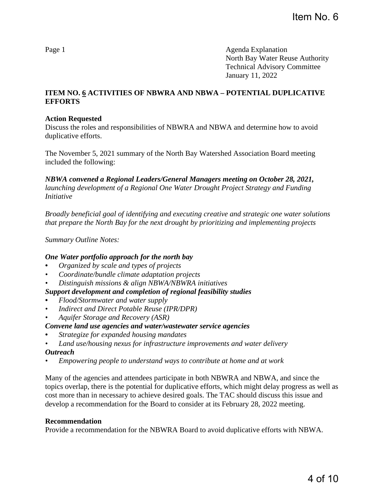# **ITEM NO. 6 ACTIVITIES OF NBWRA AND NBWA – POTENTIAL DUPLICATIVE EFFORTS**

## **Action Requested**

Discuss the roles and responsibilities of NBWRA and NBWA and determine how to avoid duplicative efforts.

The November 5, 2021 summary of the North Bay Watershed Association Board meeting included the following:

*NBWA convened a Regional Leaders/General Managers meeting on October 28, 2021, launching development of a Regional One Water Drought Project Strategy and Funding Initiative* 

*Broadly beneficial goal of identifying and executing creative and strategic one water solutions that prepare the North Bay for the next drought by prioritizing and implementing projects* 

*Summary Outline Notes:* 

## *One Water portfolio approach for the north bay*

- *• Organized by scale and types of projects*
- *Coordinate/bundle climate adaptation projects*
- *Distinguish missions & align NBWA/NBWRA initiatives*

## *Support development and completion of regional feasibility studies*

- *• Flood/Stormwater and water supply*
- *Indirect and Direct Potable Reuse (IPR/DPR)*
- *Aquifer Storage and Recovery (ASR)*

## *Convene land use agencies and water/wastewater service agencies*

- *• Strategize for expanded housing mandates*
- *Land use/housing nexus for infrastructure improvements and water delivery*

### *Outreach*

*• Empowering people to understand ways to contribute at home and at work*

Many of the agencies and attendees participate in both NBWRA and NBWA, and since the topics overlap, there is the potential for duplicative efforts, which might delay progress as well as cost more than in necessary to achieve desired goals. The TAC should discuss this issue and develop a recommendation for the Board to consider at its February 28, 2022 meeting.

### **Recommendation**

Provide a recommendation for the NBWRA Board to avoid duplicative efforts with NBWA.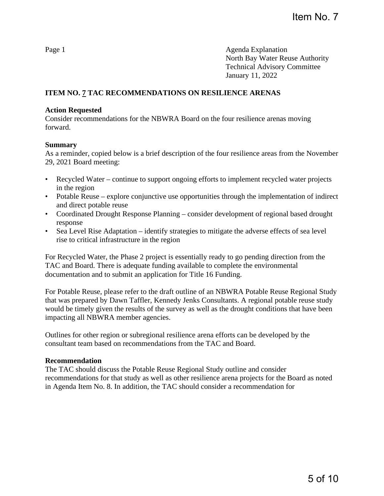# **ITEM NO. 7 TAC RECOMMENDATIONS ON RESILIENCE ARENAS**

## **Action Requested**

Consider recommendations for the NBWRA Board on the four resilience arenas moving forward.

### **Summary**

As a reminder, copied below is a brief description of the four resilience areas from the November 29, 2021 Board meeting:

- Recycled Water continue to support ongoing efforts to implement recycled water projects in the region
- Potable Reuse explore conjunctive use opportunities through the implementation of indirect and direct potable reuse
- Coordinated Drought Response Planning consider development of regional based drought response
- Sea Level Rise Adaptation identify strategies to mitigate the adverse effects of sea level rise to critical infrastructure in the region

For Recycled Water, the Phase 2 project is essentially ready to go pending direction from the TAC and Board. There is adequate funding available to complete the environmental documentation and to submit an application for Title 16 Funding.

For Potable Reuse, please refer to the draft outline of an NBWRA Potable Reuse Regional Study that was prepared by Dawn Taffler, Kennedy Jenks Consultants. A regional potable reuse study would be timely given the results of the survey as well as the drought conditions that have been impacting all NBWRA member agencies.

Outlines for other region or subregional resilience arena efforts can be developed by the consultant team based on recommendations from the TAC and Board.

### **Recommendation**

The TAC should discuss the Potable Reuse Regional Study outline and consider recommendations for that study as well as other resilience arena projects for the Board as noted in Agenda Item No. 8. In addition, the TAC should consider a recommendation for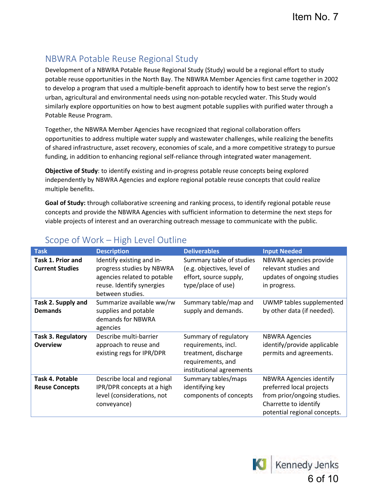# NBWRA Potable Reuse Regional Study

Development of a NBWRA Potable Reuse Regional Study (Study) would be a regional effort to study potable reuse opportunities in the North Bay. The NBWRA Member Agencies first came together in 2002 to develop a program that used a multiple-benefit approach to identify how to best serve the region's urban, agricultural and environmental needs using non-potable recycled water. This Study would similarly explore opportunities on how to best augment potable supplies with purified water through a Potable Reuse Program.

Together, the NBWRA Member Agencies have recognized that regional collaboration offers opportunities to address multiple water supply and wastewater challenges, while realizing the benefits of shared infrastructure, asset recovery, economies of scale, and a more competitive strategy to pursue funding, in addition to enhancing regional self-reliance through integrated water management.

**Objective of Study**: to identify existing and in-progress potable reuse concepts being explored independently by NBWRA Agencies and explore regional potable reuse concepts that could realize multiple benefits.

**Goal of Study:** through collaborative screening and ranking process, to identify regional potable reuse concepts and provide the NBWRA Agencies with sufficient information to determine the next steps for viable projects of interest and an overarching outreach message to communicate with the public.

| <b>Task</b>                                  | <b>Description</b>                                                                                                                     | <b>Deliverables</b>                                                                                                   | <b>Input Needed</b>                                                                                                                                |
|----------------------------------------------|----------------------------------------------------------------------------------------------------------------------------------------|-----------------------------------------------------------------------------------------------------------------------|----------------------------------------------------------------------------------------------------------------------------------------------------|
| Task 1. Prior and<br><b>Current Studies</b>  | Identify existing and in-<br>progress studies by NBWRA<br>agencies related to potable<br>reuse. Identify synergies<br>between studies. | Summary table of studies<br>(e.g. objectives, level of<br>effort, source supply,<br>type/place of use)                | NBWRA agencies provide<br>relevant studies and<br>updates of ongoing studies<br>in progress.                                                       |
| Task 2. Supply and<br><b>Demands</b>         | Summarize available ww/rw<br>supplies and potable<br>demands for NBWRA<br>agencies                                                     | Summary table/map and<br>supply and demands.                                                                          | UWMP tables supplemented<br>by other data (if needed).                                                                                             |
| <b>Task 3. Regulatory</b><br><b>Overview</b> | Describe multi-barrier<br>approach to reuse and<br>existing regs for IPR/DPR                                                           | Summary of regulatory<br>requirements, incl.<br>treatment, discharge<br>requirements, and<br>institutional agreements | <b>NBWRA Agencies</b><br>identify/provide applicable<br>permits and agreements.                                                                    |
| Task 4. Potable<br><b>Reuse Concepts</b>     | Describe local and regional<br>IPR/DPR concepts at a high<br>level (considerations, not<br>conveyance)                                 | Summary tables/maps<br>identifying key<br>components of concepts                                                      | <b>NBWRA Agencies identify</b><br>preferred local projects<br>from prior/ongoing studies.<br>Charrette to identify<br>potential regional concepts. |

# Scope of Work – High Level Outline

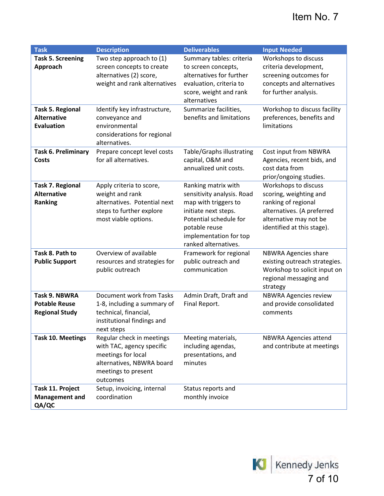# Item No. 7

| <b>Task</b>                | <b>Description</b>                                     | <b>Deliverables</b>                        | <b>Input Needed</b>                                        |
|----------------------------|--------------------------------------------------------|--------------------------------------------|------------------------------------------------------------|
| <b>Task 5. Screening</b>   | Two step approach to (1)                               | Summary tables: criteria                   | Workshops to discuss                                       |
| Approach                   | screen concepts to create                              | to screen concepts,                        | criteria development,                                      |
|                            | alternatives (2) score,                                | alternatives for further                   | screening outcomes for                                     |
|                            | weight and rank alternatives                           | evaluation, criteria to                    | concepts and alternatives                                  |
|                            |                                                        | score, weight and rank                     | for further analysis.                                      |
|                            |                                                        | alternatives                               |                                                            |
| <b>Task 5. Regional</b>    | Identify key infrastructure,                           | Summarize facilities,                      | Workshop to discuss facility                               |
| <b>Alternative</b>         | conveyance and                                         | benefits and limitations                   | preferences, benefits and                                  |
| <b>Evaluation</b>          | environmental                                          |                                            | limitations                                                |
|                            | considerations for regional                            |                                            |                                                            |
|                            | alternatives.                                          |                                            |                                                            |
| <b>Task 6. Preliminary</b> | Prepare concept level costs<br>for all alternatives.   | Table/Graphs illustrating                  | Cost input from NBWRA                                      |
| Costs                      |                                                        | capital, O&M and<br>annualized unit costs. | Agencies, recent bids, and<br>cost data from               |
|                            |                                                        |                                            | prior/ongoing studies.                                     |
| <b>Task 7. Regional</b>    | Apply criteria to score,                               | Ranking matrix with                        | Workshops to discuss                                       |
| <b>Alternative</b>         | weight and rank                                        | sensitivity analysis. Road                 | scoring, weighting and                                     |
| Ranking                    | alternatives. Potential next                           | map with triggers to                       | ranking of regional                                        |
|                            | steps to further explore                               | initiate next steps.                       | alternatives. (A preferred                                 |
|                            | most viable options.                                   | Potential schedule for                     | alternative may not be                                     |
|                            |                                                        | potable reuse                              | identified at this stage).                                 |
|                            |                                                        | implementation for top                     |                                                            |
|                            |                                                        | ranked alternatives.                       |                                                            |
| Task 8. Path to            | Overview of available                                  | Framework for regional                     | <b>NBWRA Agencies share</b>                                |
| <b>Public Support</b>      | resources and strategies for                           | public outreach and                        | existing outreach strategies.                              |
|                            | public outreach                                        | communication                              | Workshop to solicit input on                               |
|                            |                                                        |                                            | regional messaging and                                     |
|                            |                                                        |                                            | strategy                                                   |
| <b>Task 9. NBWRA</b>       | Document work from Tasks                               | Admin Draft, Draft and                     | <b>NBWRA Agencies review</b>                               |
| <b>Potable Reuse</b>       | 1-8, including a summary of                            | Final Report.                              | and provide consolidated                                   |
| <b>Regional Study</b>      | technical, financial,                                  |                                            | comments                                                   |
|                            | institutional findings and                             |                                            |                                                            |
|                            | next steps                                             |                                            |                                                            |
| <b>Task 10. Meetings</b>   | Regular check in meetings<br>with TAC, agency specific | Meeting materials,<br>including agendas,   | <b>NBWRA Agencies attend</b><br>and contribute at meetings |
|                            | meetings for local                                     | presentations, and                         |                                                            |
|                            | alternatives, NBWRA board                              | minutes                                    |                                                            |
|                            | meetings to present                                    |                                            |                                                            |
|                            | outcomes                                               |                                            |                                                            |
| Task 11. Project           | Setup, invoicing, internal                             | Status reports and                         |                                                            |
| <b>Management and</b>      | coordination                                           | monthly invoice                            |                                                            |
| QA/QC                      |                                                        |                                            |                                                            |

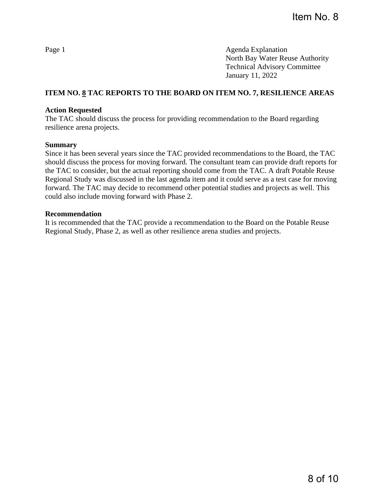# **ITEM NO. 8 TAC REPORTS TO THE BOARD ON ITEM NO. 7, RESILIENCE AREAS**

## **Action Requested**

The TAC should discuss the process for providing recommendation to the Board regarding resilience arena projects.

### **Summary**

Since it has been several years since the TAC provided recommendations to the Board, the TAC should discuss the process for moving forward. The consultant team can provide draft reports for the TAC to consider, but the actual reporting should come from the TAC. A draft Potable Reuse Regional Study was discussed in the last agenda item and it could serve as a test case for moving forward. The TAC may decide to recommend other potential studies and projects as well. This could also include moving forward with Phase 2.

## **Recommendation**

It is recommended that the TAC provide a recommendation to the Board on the Potable Reuse Regional Study, Phase 2, as well as other resilience arena studies and projects.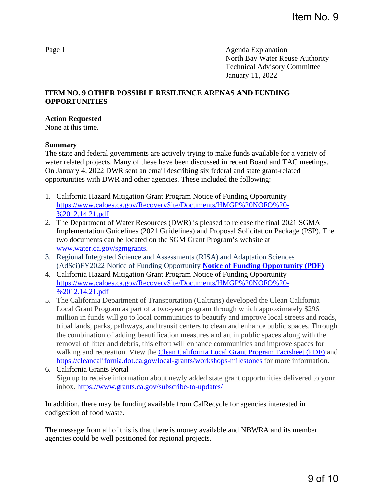## **ITEM NO. 9 OTHER POSSIBLE RESILIENCE ARENAS AND FUNDING OPPORTUNITIES**

#### **Action Requested**

None at this time.

### **Summary**

The state and federal governments are actively trying to make funds available for a variety of water related projects. Many of these have been discussed in recent Board and TAC meetings. On January 4, 2022 DWR sent an email describing six federal and state grant-related opportunities with DWR and other agencies. These included the following:

- 1. California Hazard Mitigation Grant Program Notice of Funding Opportunity [https://www.caloes.ca.gov/RecoverySite/Documents/HMGP%20NOFO%20-](https://www.caloes.ca.gov/RecoverySite/Documents/HMGP%20NOFO%20-%2012.14.21.pdf) [%2012.14.21.pdf](https://www.caloes.ca.gov/RecoverySite/Documents/HMGP%20NOFO%20-%2012.14.21.pdf)
- 2. The Department of Water Resources (DWR) is pleased to release the final 2021 SGMA Implementation Guidelines (2021 Guidelines) and Proposal Solicitation Package (PSP). The two documents can be located on the SGM Grant Program's website at [www.water.ca.gov/sgmgrants.](https://gcc02.safelinks.protection.outlook.com/?url=http%3A%2F%2Fwww.water.ca.gov%2Fsgmgrants&data=04%7C01%7C%7C04b61b3fd1744ad1212e08d9c719d5f1%7Cb71d56524b834257afcd7fd177884564%7C0%7C0%7C637759736078710304%7CUnknown%7CTWFpbGZsb3d8eyJWIjoiMC4wLjAwMDAiLCJQIjoiV2luMzIiLCJBTiI6Ik1haWwiLCJXVCI6Mn0%3D%7C3000&sdata=dvrUw5qMRmfsDtQ2GqEDofGjo50WZtRDNk5IpLhrqYA%3D&reserved=0)
- 3. Regional Integrated Science and Assessments (RISA) and Adaptation Sciences (AdSci)FY2022 Notice of Funding Opportunity **[Notice of Funding Opportunity \(PDF\)](https://gcc02.safelinks.protection.outlook.com/?url=https%3A%2F%2Fcpo.noaa.gov%2FPortals%2F0%2FGrants%2F2022%2FNOAA-OAR-CPO-2022-2007019-NOFO.pdf&data=04%7C01%7C%7Cb3b48818ad3242a7be2608d9c49ea06a%7Cb71d56524b834257afcd7fd177884564%7C0%7C0%7C637757007888383440%7CUnknown%7CTWFpbGZsb3d8eyJWIjoiMC4wLjAwMDAiLCJQIjoiV2luMzIiLCJBTiI6Ik1haWwiLCJXVCI6Mn0%3D%7C3000&sdata=hFSlt8zYo6ZlfHcFgHaq0aQo2zPjsr8XOHjFMhRdb90%3D&reserved=0)**
- 4. California Hazard Mitigation Grant Program Notice of Funding Opportunity [https://www.caloes.ca.gov/RecoverySite/Documents/HMGP%20NOFO%20-](https://www.caloes.ca.gov/RecoverySite/Documents/HMGP%20NOFO%20-%2012.14.21.pdf) [%2012.14.21.pdf](https://www.caloes.ca.gov/RecoverySite/Documents/HMGP%20NOFO%20-%2012.14.21.pdf)
- 5. The California Department of Transportation (Caltrans) developed the Clean California Local Grant Program as part of a two-year program through which approximately \$296 million in funds will go to local communities to beautify and improve local streets and roads, tribal lands, parks, pathways, and transit centers to clean and enhance public spaces. Through the combination of adding beautification measures and art in public spaces along with the removal of litter and debris, this effort will enhance communities and improve spaces for walking and recreation. View the [Clean California Local Grant Program Factsheet \(PDF\)](https://cleancalifornia.dot.ca.gov/-/media/cleancalifornia-media/documents/local-grant-program/cc-lgp-factsheet-20211207-a11y.pdf) and <https://cleancalifornia.dot.ca.gov/local-grants/workshops-milestones>for more information.
- 6. California Grants Portal Sign up to receive information about newly added state grant opportunities delivered to your inbox.<https://www.grants.ca.gov/subscribe-to-updates/>

In addition, there may be funding available from CalRecycle for agencies interested in codigestion of food waste.

The message from all of this is that there is money available and NBWRA and its member agencies could be well positioned for regional projects.